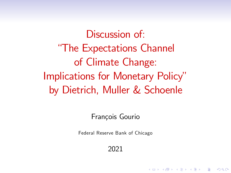Discussion of "The Expectations Channel of Climate Change: Implications for Monetary Policy" by Dietrich, Muller & Schoenle

François Gourio

Federal Reserve Bank of Chicago

2021

**KORK ERKER ADE YOUR**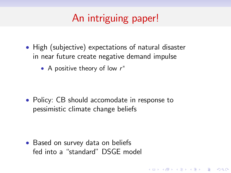# An intriguing paper!

- High (subjective) expectations of natural disaster in near future create negative demand impulse
	- A positive theory of low  $r^*$

• Policy: CB should accomodate in response to pessimistic climate change beliefs

**KORK ERKER ADE YOUR** 

• Based on survey data on beliefs fed into a "standard" DSGE model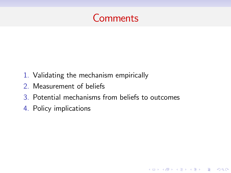

- 1. Validating the mechanism empirically
- 2. Measurement of beliefs
- 3. Potential mechanisms from beliefs to outcomes

K ロ ▶ K @ ▶ K 할 > K 할 > 1 할 > 1 이익어

4. Policy implications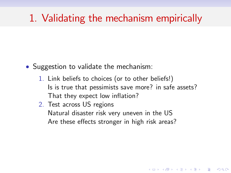## 1. Validating the mechanism empirically

- Suggestion to validate the mechanism:
	- 1. Link beliefs to choices (or to other beliefs!) Is is true that pessimists save more? in safe assets? That they expect low inflation?

4 D > 4 P + 4 B + 4 B + B + 9 Q O

2. Test across US regions Natural disaster risk very uneven in the US Are these effects stronger in high risk areas?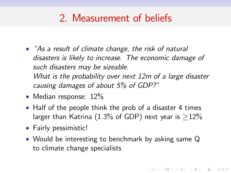## 2. Measurement of beliefs

- "As a result of climate change, the risk of natural disasters is likely to increase. The economic damage of such disasters may be sizeable. What is the probability over next 12m of a large disaster causing damages of about  $5\%$  of GDP?"
- Median response: 12%
- Half of the people think the prob of a disaster 4 times larger than Katrina (1.3% of GDP) next year is  $>12\%$
- Fairly pessimistic!
- Would be interesting to benchmark by asking same Q to climate change specialists

**KORK ERKER ADE YOUR**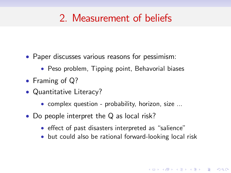## 2. Measurement of beliefs

- Paper discusses various reasons for pessimism:
	- Peso problem, Tipping point, Behavorial biases
- Framing of Q?
- Quantitative Literacy?
	- complex question probability, horizon, size ...
- Do people interpret the Q as local risk?
	- effect of past disasters interpreted as "salience"
	- but could also be rational forward-looking local risk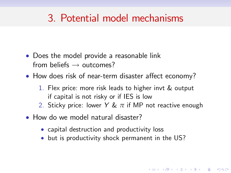## 3. Potential model mechanisms

- Does the model provide a reasonable link from beliefs  $\rightarrow$  outcomes?
- $\bullet$  How does risk of near-term disaster affect economy?
	- 1. Flex price: more risk leads to higher invt & output if capital is not risky or if IES is low
	- 2. Sticky price: lower Y & *π* if MP not reactive enough

**KORK ERKER ADE YOUR** 

- How do we model natural disaster?
	- capital destruction and productivity loss
	- but is productivity shock permanent in the US?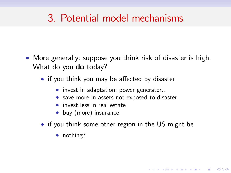#### 3. Potential model mechanisms

- More generally: suppose you think risk of disaster is high. What do you **do** today?
	- if you think you may be affected by disaster
		- invest in adaptation: power generator...
		- save more in assets not exposed to disaster
		- invest less in real estate
		- buy (more) insurance
	- if you think some other region in the US might be

**KOD KARD KED KED E VOOR** 

• nothing?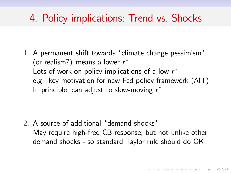#### 4. Policy implications: Trend vs. Shocks

1. A permanent shift towards "climate change pessimism" (or realism?) means a lower  $r^{\ast}$ Lots of work on policy implications of a low  $r^\ast$ e.g., key motivation for new Fed policy framework (AIT) In principle, can adjust to slow-moving  $r^\ast$ 

2. A source of additional  $\theta$  demand shocks" May require high-freq CB response, but not unlike other demand shocks - so standard Taylor rule should do OK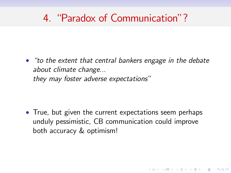## 4 "Paradox of Communication"?

 $\bullet$  "to the extent that central bankers engage in the debate about climate change... they may foster adverse expectations"

• True, but given the current expectations seem perhaps unduly pessimistic, CB communication could improve both accuracy & optimism!

**K ロ ▶ K @ ▶ K 할 X X 할 X 및 할 X X Q Q O**